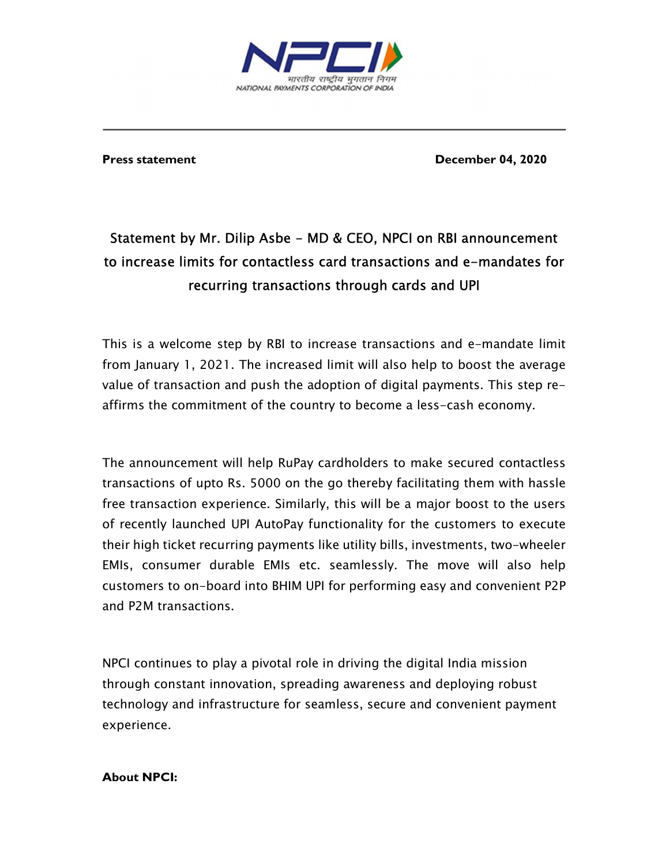

Press statement **December 04, 2020** 

## Statement by Mr. Dilip Asbe - MD & CEO, NPCI on RBI announcement to increase limits for contactless card transactions and e-mandates for recurring transactions through cards and UPI

 This is a welcome step by RBI to increase transactions and e-mandate limit from January 1, 2021. The increased limit will also help to boost the average value of transaction and push the adoption of digital payments. This step reaffirms the commitment of the country to become a less-cash economy.

The announcement will help RuPay cardholders to make secured contactless transactions of upto Rs. 5000 on the go thereby facilitating them with hassle free transaction experience. Similarly, this will be a major boost to the users of recently launched UPI AutoPay functionality for the customers to execute their high ticket recurring payments like utility bills, investments, two-wheeler EMIs, consumer durable EMIs etc. seamlessly. The move will also help customers to on-board into BHIM UPI for performing easy and convenient P2P and P2M transactions.

NPCI continues to play a pivotal role in driving the digital India mission through constant innovation, spreading awareness and deploying robust technology and infrastructure for seamless, secure and convenient payment experience.

## About NPCI: